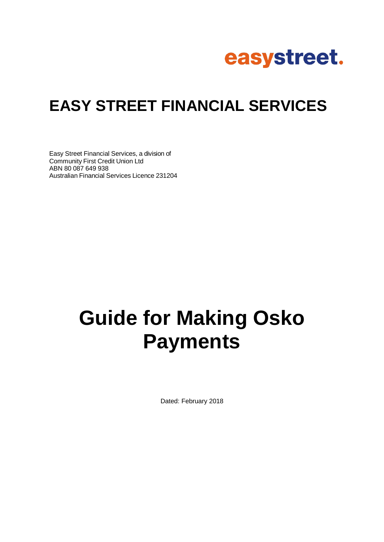

# **EASY STREET FINANCIAL SERVICES**

Easy Street Financial Services, a division of Community First Credit Union Ltd ABN 80 087 649 938 Australian Financial Services Licence 231204

# **Guide for Making Osko Payments**

Dated: February 2018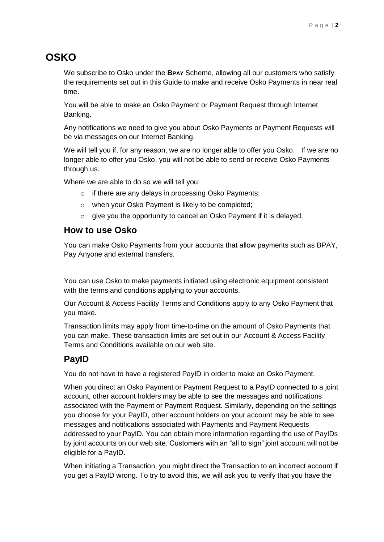## **OSKO**

We subscribe to Osko under the **BPAY** Scheme, allowing all our customers who satisfy the requirements set out in this Guide to make and receive Osko Payments in near real time.

You will be able to make an Osko Payment or Payment Request through Internet Banking.

Any notifications we need to give you about Osko Payments or Payment Requests will be via messages on our Internet Banking.

We will tell you if, for any reason, we are no longer able to offer you Osko. If we are no longer able to offer you Osko, you will not be able to send or receive Osko Payments through us.

Where we are able to do so we will tell you:

- o if there are any delays in processing Osko Payments;
- o when your Osko Payment is likely to be completed;
- $\circ$  give you the opportunity to cancel an Osko Payment if it is delayed.

#### **How to use Osko**

You can make Osko Payments from your accounts that allow payments such as BPAY, Pay Anyone and external transfers.

You can use Osko to make payments initiated using electronic equipment consistent with the terms and conditions applying to your accounts.

Our Account & Access Facility Terms and Conditions apply to any Osko Payment that you make.

Transaction limits may apply from time-to-time on the amount of Osko Payments that you can make. These transaction limits are set out in our Account & Access Facility Terms and Conditions available on our web site.

#### **PayID**

You do not have to have a registered PayID in order to make an Osko Payment.

When you direct an Osko Payment or Payment Request to a PayID connected to a joint account, other account holders may be able to see the messages and notifications associated with the Payment or Payment Request. Similarly, depending on the settings you choose for your PayID, other account holders on your account may be able to see messages and notifications associated with Payments and Payment Requests addressed to your PayID. You can obtain more information regarding the use of PayIDs by joint accounts on our web site. Customers with an "all to sign" joint account will not be eligible for a PayID.

When initiating a Transaction, you might direct the Transaction to an incorrect account if you get a PayID wrong. To try to avoid this, we will ask you to verify that you have the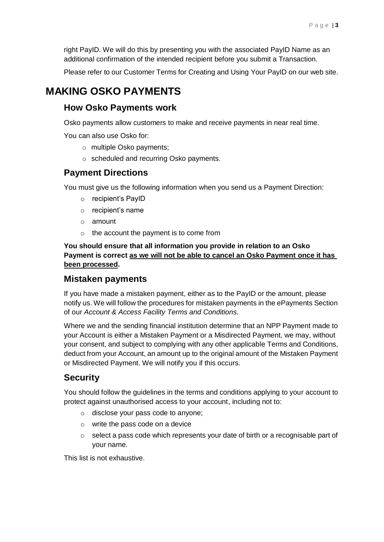right PayID. We will do this by presenting you with the associated PayID Name as an additional confirmation of the intended recipient before you submit a Transaction.

Please refer to our Customer Terms for Creating and Using Your PayID on our web site.

### **MAKING OSKO PAYMENTS**

#### **How Osko Payments work**

Osko payments allow customers to make and receive payments in near real time.

You can also use Osko for:

- o multiple Osko payments;
- o scheduled and recurring Osko payments.

#### **Payment Directions**

You must give us the following information when you send us a Payment Direction:

- o recipient's PayID
- o recipient's name
- o amount
- o the account the payment is to come from

**You should ensure that all information you provide in relation to an Osko Payment is correct as we will not be able to cancel an Osko Payment once it has been processed.** 

#### **Mistaken payments**

If you have made a mistaken payment, either as to the PayID or the amount, please notify us. We will follow the procedures for mistaken payments in the ePayments Section of our *Account & Access Facility Terms and Conditions.*

Where we and the sending financial institution determine that an NPP Payment made to your Account is either a Mistaken Payment or a Misdirected Payment, we may, without your consent, and subject to complying with any other applicable Terms and Conditions, deduct from your Account, an amount up to the original amount of the Mistaken Payment or Misdirected Payment. We will notify you if this occurs.

#### **Security**

You should follow the guidelines in the terms and conditions applying to your account to protect against unauthorised access to your account, including not to:

- o disclose your pass code to anyone;
- o write the pass code on a device
- $\circ$  select a pass code which represents your date of birth or a recognisable part of your name.

This list is not exhaustive.